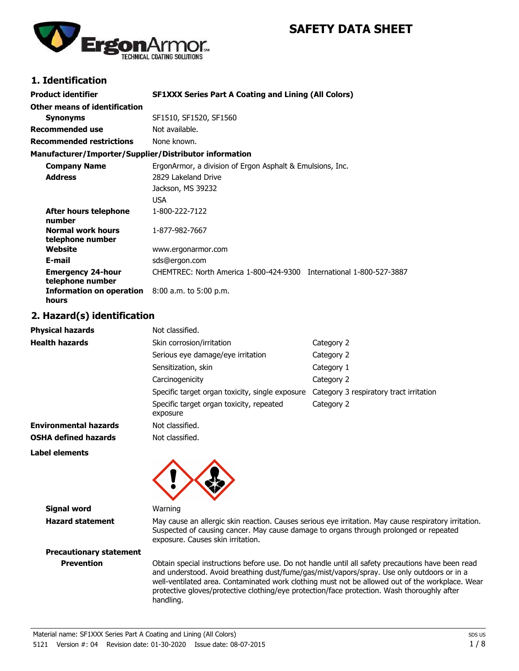## **SAFETY DATA SHEET**



### **1. Identification**

| <b>Product identifier</b>                              | <b>SF1XXX Series Part A Coating and Lining (All Colors)</b>         |  |  |
|--------------------------------------------------------|---------------------------------------------------------------------|--|--|
| Other means of identification                          |                                                                     |  |  |
| <b>Synonyms</b>                                        | SF1510, SF1520, SF1560                                              |  |  |
| <b>Recommended use</b>                                 | Not available.                                                      |  |  |
| <b>Recommended restrictions</b>                        | None known.                                                         |  |  |
| Manufacturer/Importer/Supplier/Distributor information |                                                                     |  |  |
| <b>Company Name</b>                                    | ErgonArmor, a division of Ergon Asphalt & Emulsions, Inc.           |  |  |
| <b>Address</b>                                         | 2829 Lakeland Drive                                                 |  |  |
|                                                        | Jackson, MS 39232                                                   |  |  |
|                                                        | <b>USA</b>                                                          |  |  |
| After hours telephone<br>number                        | 1-800-222-7122                                                      |  |  |
| <b>Normal work hours</b><br>telephone number           | 1-877-982-7667                                                      |  |  |
| Website                                                | www.ergonarmor.com                                                  |  |  |
| E-mail                                                 | sds@ergon.com                                                       |  |  |
| <b>Emergency 24-hour</b><br>telephone number           | CHEMTREC: North America 1-800-424-9300 International 1-800-527-3887 |  |  |
| <b>Information on operation</b><br>hours               | $8:00$ a.m. to 5:00 p.m.                                            |  |  |

#### **2. Hazard(s) identification**

| <b>Physical hazards</b>      | Not classified.                                      |                                         |
|------------------------------|------------------------------------------------------|-----------------------------------------|
| <b>Health hazards</b>        | Skin corrosion/irritation                            | Category 2                              |
|                              | Serious eye damage/eye irritation                    | Category 2                              |
|                              | Sensitization, skin                                  | Category 1                              |
|                              | Carcinogenicity                                      | Category 2                              |
|                              | Specific target organ toxicity, single exposure      | Category 3 respiratory tract irritation |
|                              | Specific target organ toxicity, repeated<br>exposure | Category 2                              |
| <b>Environmental hazards</b> | Not classified.                                      |                                         |
| <b>OSHA defined hazards</b>  | Not classified.                                      |                                         |
| Label elements               |                                                      |                                         |

**Signal word** Warning

**Hazard statement** May cause an allergic skin reaction. Causes serious eye irritation. May cause respiratory irritation. Suspected of causing cancer. May cause damage to organs through prolonged or repeated exposure. Causes skin irritation.

# **Precautionary statement**

**Prevention** Obtain special instructions before use. Do not handle until all safety precautions have been read and understood. Avoid breathing dust/fume/gas/mist/vapors/spray. Use only outdoors or in a well-ventilated area. Contaminated work clothing must not be allowed out of the workplace. Wear protective gloves/protective clothing/eye protection/face protection. Wash thoroughly after handling.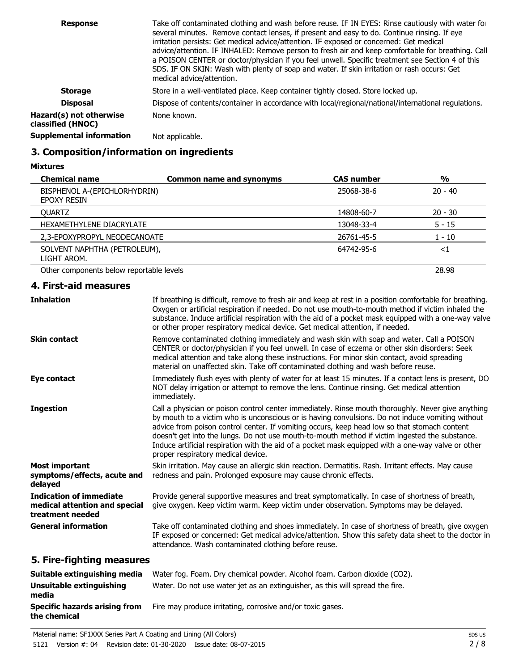| <b>Response</b>                              | Take off contaminated clothing and wash before reuse. IF IN EYES: Rinse cautiously with water for<br>several minutes. Remove contact lenses, if present and easy to do. Continue rinsing. If eye<br>irritation persists: Get medical advice/attention. IF exposed or concerned: Get medical<br>advice/attention. IF INHALED: Remove person to fresh air and keep comfortable for breathing. Call<br>a POISON CENTER or doctor/physician if you feel unwell. Specific treatment see Section 4 of this<br>SDS. IF ON SKIN: Wash with plenty of soap and water. If skin irritation or rash occurs: Get<br>medical advice/attention. |
|----------------------------------------------|----------------------------------------------------------------------------------------------------------------------------------------------------------------------------------------------------------------------------------------------------------------------------------------------------------------------------------------------------------------------------------------------------------------------------------------------------------------------------------------------------------------------------------------------------------------------------------------------------------------------------------|
| <b>Storage</b>                               | Store in a well-ventilated place. Keep container tightly closed. Store locked up.                                                                                                                                                                                                                                                                                                                                                                                                                                                                                                                                                |
| <b>Disposal</b>                              | Dispose of contents/container in accordance with local/regional/national/international regulations.                                                                                                                                                                                                                                                                                                                                                                                                                                                                                                                              |
| Hazard(s) not otherwise<br>classified (HNOC) | None known.                                                                                                                                                                                                                                                                                                                                                                                                                                                                                                                                                                                                                      |
| <b>Supplemental information</b>              | Not applicable.                                                                                                                                                                                                                                                                                                                                                                                                                                                                                                                                                                                                                  |

### **3. Composition/information on ingredients**

| <b>Mixtures</b> |
|-----------------|
|-----------------|

| <b>Chemical name</b>                        | <b>Common name and synonyms</b> | <b>CAS number</b> | %         |
|---------------------------------------------|---------------------------------|-------------------|-----------|
| BISPHENOL A-(EPICHLORHYDRIN)<br>EPOXY RESIN |                                 | 25068-38-6        | $20 - 40$ |
| <b>OUARTZ</b>                               |                                 | 14808-60-7        | $20 - 30$ |
| HEXAMETHYLENE DIACRYLATE                    |                                 | 13048-33-4        | $5 - 15$  |
| 2,3-EPOXYPROPYL NEODECANOATE                |                                 | 26761-45-5        | 1 - 10    |
| SOLVENT NAPHTHA (PETROLEUM),<br>LIGHT AROM. |                                 | 64742-95-6        | ${<}1$    |
| Other components below reportable levels    |                                 |                   | 28.98     |

### **4. First-aid measures**

| <b>Inhalation</b>                                                                   | If breathing is difficult, remove to fresh air and keep at rest in a position comfortable for breathing.<br>Oxygen or artificial respiration if needed. Do not use mouth-to-mouth method if victim inhaled the<br>substance. Induce artificial respiration with the aid of a pocket mask equipped with a one-way valve<br>or other proper respiratory medical device. Get medical attention, if needed.                                                                                                                                              |
|-------------------------------------------------------------------------------------|------------------------------------------------------------------------------------------------------------------------------------------------------------------------------------------------------------------------------------------------------------------------------------------------------------------------------------------------------------------------------------------------------------------------------------------------------------------------------------------------------------------------------------------------------|
| <b>Skin contact</b>                                                                 | Remove contaminated clothing immediately and wash skin with soap and water. Call a POISON<br>CENTER or doctor/physician if you feel unwell. In case of eczema or other skin disorders: Seek<br>medical attention and take along these instructions. For minor skin contact, avoid spreading<br>material on unaffected skin. Take off contaminated clothing and wash before reuse.                                                                                                                                                                    |
| Eye contact                                                                         | Immediately flush eyes with plenty of water for at least 15 minutes. If a contact lens is present, DO<br>NOT delay irrigation or attempt to remove the lens. Continue rinsing. Get medical attention<br>immediately.                                                                                                                                                                                                                                                                                                                                 |
| <b>Ingestion</b>                                                                    | Call a physician or poison control center immediately. Rinse mouth thoroughly. Never give anything<br>by mouth to a victim who is unconscious or is having convulsions. Do not induce vomiting without<br>advice from poison control center. If vomiting occurs, keep head low so that stomach content<br>doesn't get into the lungs. Do not use mouth-to-mouth method if victim ingested the substance.<br>Induce artificial respiration with the aid of a pocket mask equipped with a one-way valve or other<br>proper respiratory medical device. |
| <b>Most important</b><br>symptoms/effects, acute and<br>delayed                     | Skin irritation. May cause an allergic skin reaction. Dermatitis. Rash. Irritant effects. May cause<br>redness and pain. Prolonged exposure may cause chronic effects.                                                                                                                                                                                                                                                                                                                                                                               |
| <b>Indication of immediate</b><br>medical attention and special<br>treatment needed | Provide general supportive measures and treat symptomatically. In case of shortness of breath,<br>give oxygen. Keep victim warm. Keep victim under observation. Symptoms may be delayed.                                                                                                                                                                                                                                                                                                                                                             |
| <b>General information</b>                                                          | Take off contaminated clothing and shoes immediately. In case of shortness of breath, give oxygen<br>IF exposed or concerned: Get medical advice/attention. Show this safety data sheet to the doctor in<br>attendance. Wash contaminated clothing before reuse.                                                                                                                                                                                                                                                                                     |
| File Call:                                                                          |                                                                                                                                                                                                                                                                                                                                                                                                                                                                                                                                                      |

#### **5. Fire-fighting measures**

| Suitable extinguishing media                         | Water fog. Foam. Dry chemical powder. Alcohol foam. Carbon dioxide (CO2).     |
|------------------------------------------------------|-------------------------------------------------------------------------------|
| Unsuitable extinguishing<br>media                    | Water. Do not use water jet as an extinguisher, as this will spread the fire. |
| <b>Specific hazards arising from</b><br>the chemical | Fire may produce irritating, corrosive and/or toxic gases.                    |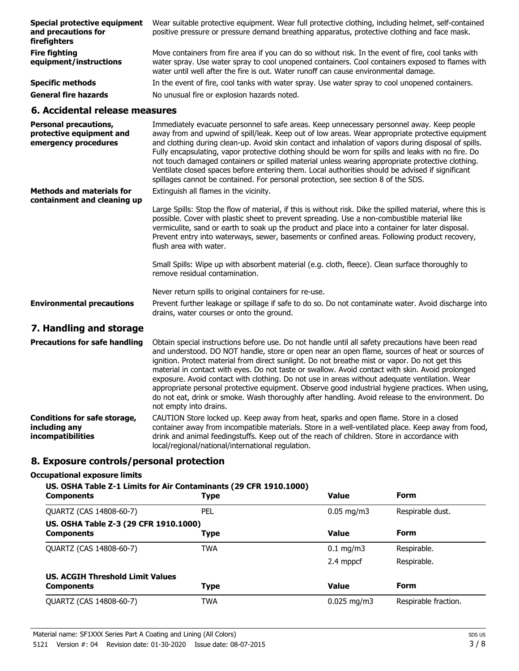| Special protective equipment<br>and precautions for<br>firefighters              | Wear suitable protective equipment. Wear full protective clothing, including helmet, self-contained<br>positive pressure or pressure demand breathing apparatus, protective clothing and face mask.                                                                                                                                                                                                           |  |  |
|----------------------------------------------------------------------------------|---------------------------------------------------------------------------------------------------------------------------------------------------------------------------------------------------------------------------------------------------------------------------------------------------------------------------------------------------------------------------------------------------------------|--|--|
| <b>Fire fighting</b><br>equipment/instructions                                   | Move containers from fire area if you can do so without risk. In the event of fire, cool tanks with<br>water spray. Use water spray to cool unopened containers. Cool containers exposed to flames with<br>water until well after the fire is out. Water runoff can cause environmental damage.                                                                                                               |  |  |
| <b>Specific methods</b>                                                          | In the event of fire, cool tanks with water spray. Use water spray to cool unopened containers.                                                                                                                                                                                                                                                                                                               |  |  |
| <b>General fire hazards</b>                                                      | No unusual fire or explosion hazards noted.                                                                                                                                                                                                                                                                                                                                                                   |  |  |
| 6. Accidental release measures                                                   |                                                                                                                                                                                                                                                                                                                                                                                                               |  |  |
| <b>Personal precautions,</b><br>protective equipment and<br>emergency procedures | Immediately evacuate personnel to safe areas. Keep unnecessary personnel away. Keep people<br>away from and upwind of spill/leak. Keep out of low areas. Wear appropriate protective equipment<br>and clothing during clean-up. Avoid skin contact and inhalation of vapors during disposal of spills.<br>Fully encapsulating, vapor protective clothing should be worn for spills and leaks with no fire. Do |  |  |

Ventilate closed spaces before entering them. Local authorities should be advised if significant spillages cannot be contained. For personal protection, see section 8 of the SDS. Extinguish all flames in the vicinity. **Methods and materials for**

Large Spills: Stop the flow of material, if this is without risk. Dike the spilled material, where this is possible. Cover with plastic sheet to prevent spreading. Use a non-combustible material like vermiculite, sand or earth to soak up the product and place into a container for later disposal. Prevent entry into waterways, sewer, basements or confined areas. Following product recovery, flush area with water. **containment and cleaning up**

> Small Spills: Wipe up with absorbent material (e.g. cloth, fleece). Clean surface thoroughly to remove residual contamination.

not touch damaged containers or spilled material unless wearing appropriate protective clothing.

Never return spills to original containers for re-use.

Prevent further leakage or spillage if safe to do so. Do not contaminate water. Avoid discharge into drains, water courses or onto the ground. **Environmental precautions**

#### **7. Handling and storage**

| <b>Precautions for safe handling</b>                                      | Obtain special instructions before use. Do not handle until all safety precautions have been read<br>and understood. DO NOT handle, store or open near an open flame, sources of heat or sources of<br>ignition. Protect material from direct sunlight. Do not breathe mist or vapor. Do not get this<br>material in contact with eyes. Do not taste or swallow. Avoid contact with skin. Avoid prolonged<br>exposure. Avoid contact with clothing. Do not use in areas without adequate ventilation. Wear<br>appropriate personal protective equipment. Observe good industrial hygiene practices. When using,<br>do not eat, drink or smoke. Wash thoroughly after handling. Avoid release to the environment. Do<br>not empty into drains. |
|---------------------------------------------------------------------------|-----------------------------------------------------------------------------------------------------------------------------------------------------------------------------------------------------------------------------------------------------------------------------------------------------------------------------------------------------------------------------------------------------------------------------------------------------------------------------------------------------------------------------------------------------------------------------------------------------------------------------------------------------------------------------------------------------------------------------------------------|
| <b>Conditions for safe storage,</b><br>including any<br>incompatibilities | CAUTION Store locked up. Keep away from heat, sparks and open flame. Store in a closed<br>container away from incompatible materials. Store in a well-ventilated place. Keep away from food,<br>drink and animal feedingstuffs. Keep out of the reach of children. Store in accordance with<br>local/regional/national/international regulation.                                                                                                                                                                                                                                                                                                                                                                                              |

#### **8. Exposure controls/personal protection**

#### **Occupational exposure limits**

#### **US. OSHA Table Z-1 Limits for Air Contaminants (29 CFR 1910.1000)**

| <b>Components</b>                                            | <b>Type</b> | <b>Value</b>           | <b>Form</b>          |
|--------------------------------------------------------------|-------------|------------------------|----------------------|
| QUARTZ (CAS 14808-60-7)                                      | PEL         | $0.05 \,\mathrm{mg/m}$ | Respirable dust.     |
| US. OSHA Table Z-3 (29 CFR 1910.1000)<br><b>Components</b>   | Type        | <b>Value</b>           | <b>Form</b>          |
| QUARTZ (CAS 14808-60-7)                                      | <b>TWA</b>  | $0.1 \text{ mg/m}$     | Respirable.          |
|                                                              |             | 2.4 mppcf              | Respirable.          |
| <b>US. ACGIH Threshold Limit Values</b><br><b>Components</b> | <b>Type</b> | <b>Value</b>           | <b>Form</b>          |
| QUARTZ (CAS 14808-60-7)                                      | <b>TWA</b>  | $0.025$ mg/m3          | Respirable fraction. |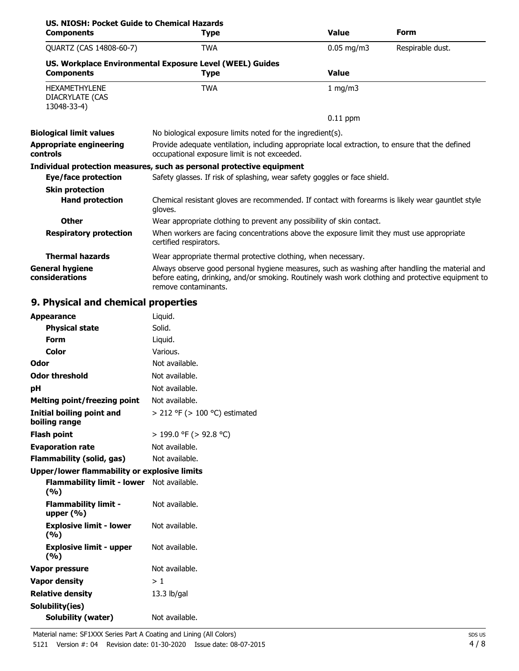| US. NIOSH: Pocket Guide to Chemical Hazards            |                                                                                                                                                                                                                             |              |                  |
|--------------------------------------------------------|-----------------------------------------------------------------------------------------------------------------------------------------------------------------------------------------------------------------------------|--------------|------------------|
| <b>Components</b>                                      | <b>Type</b>                                                                                                                                                                                                                 | <b>Value</b> | <b>Form</b>      |
| QUARTZ (CAS 14808-60-7)                                | <b>TWA</b>                                                                                                                                                                                                                  | $0.05$ mg/m3 | Respirable dust. |
|                                                        | US. Workplace Environmental Exposure Level (WEEL) Guides                                                                                                                                                                    |              |                  |
| <b>Components</b>                                      | <b>Type</b>                                                                                                                                                                                                                 | <b>Value</b> |                  |
| <b>HEXAMETHYLENE</b><br>DIACRYLATE (CAS<br>13048-33-4) | <b>TWA</b>                                                                                                                                                                                                                  | 1 mg/m $3$   |                  |
|                                                        |                                                                                                                                                                                                                             | $0.11$ ppm   |                  |
| <b>Biological limit values</b>                         | No biological exposure limits noted for the ingredient(s).                                                                                                                                                                  |              |                  |
| <b>Appropriate engineering</b><br>controls             | Provide adequate ventilation, including appropriate local extraction, to ensure that the defined<br>occupational exposure limit is not exceeded.                                                                            |              |                  |
|                                                        | Individual protection measures, such as personal protective equipment                                                                                                                                                       |              |                  |
| Eye/face protection                                    | Safety glasses. If risk of splashing, wear safety goggles or face shield.                                                                                                                                                   |              |                  |
| <b>Skin protection</b>                                 |                                                                                                                                                                                                                             |              |                  |
| <b>Hand protection</b>                                 | Chemical resistant gloves are recommended. If contact with forearms is likely wear gauntlet style<br>gloves.                                                                                                                |              |                  |
| <b>Other</b>                                           | Wear appropriate clothing to prevent any possibility of skin contact.                                                                                                                                                       |              |                  |
| <b>Respiratory protection</b>                          | When workers are facing concentrations above the exposure limit they must use appropriate<br>certified respirators.                                                                                                         |              |                  |
| <b>Thermal hazards</b>                                 | Wear appropriate thermal protective clothing, when necessary.                                                                                                                                                               |              |                  |
| <b>General hygiene</b><br>considerations               | Always observe good personal hygiene measures, such as washing after handling the material and<br>before eating, drinking, and/or smoking. Routinely wash work clothing and protective equipment to<br>remove contaminants. |              |                  |

### **9. Physical and chemical properties**

| <b>Appearance</b>                                       | Liquid.                            |
|---------------------------------------------------------|------------------------------------|
| <b>Physical state</b>                                   | Solid.                             |
| <b>Form</b>                                             | Liquid.                            |
| Color                                                   | Various.                           |
| Odor                                                    | Not available.                     |
| <b>Odor threshold</b>                                   | Not available.                     |
| рH                                                      | Not available.                     |
| <b>Melting point/freezing point</b>                     | Not available.                     |
| Initial boiling point and<br>boiling range              | $>$ 212 °F ( $>$ 100 °C) estimated |
| <b>Flash point</b>                                      | > 199.0 °F (> 92.8 °C)             |
| <b>Evaporation rate</b>                                 | Not available.                     |
| Flammability (solid, gas)                               | Not available.                     |
| <b>Upper/lower flammability or explosive limits</b>     |                                    |
| <b>Flammability limit - lower</b> Not available.<br>(%) |                                    |
| <b>Flammability limit -</b><br>upper $(\% )$            | Not available.                     |
| <b>Explosive limit - lower</b><br>(%)                   | Not available.                     |
| <b>Explosive limit - upper</b><br>(%)                   | Not available.                     |
| Vapor pressure                                          | Not available.                     |
| <b>Vapor density</b>                                    | >1                                 |
| <b>Relative density</b>                                 | $13.3$ lb/gal                      |
| Solubility(ies)<br><b>Solubility (water)</b>            | Not available.                     |
|                                                         |                                    |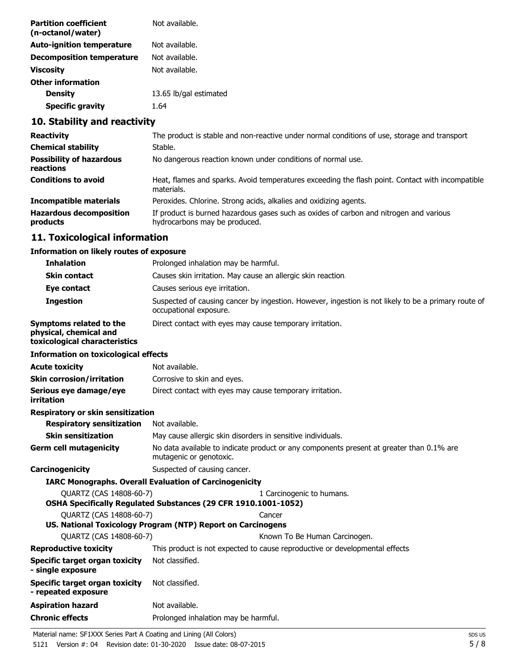| <b>Partition coefficient</b><br>(n-octanol/water) | Not available.         |
|---------------------------------------------------|------------------------|
| <b>Auto-ignition temperature</b>                  | Not available.         |
| <b>Decomposition temperature</b>                  | Not available.         |
| <b>Viscosity</b>                                  | Not available.         |
| <b>Other information</b>                          |                        |
| <b>Density</b>                                    | 13.65 lb/gal estimated |
| <b>Specific gravity</b>                           | 1.64                   |
|                                                   |                        |

### **10. Stability and reactivity**

| <b>Reactivity</b>                            | The product is stable and non-reactive under normal conditions of use, storage and transport                            |
|----------------------------------------------|-------------------------------------------------------------------------------------------------------------------------|
| <b>Chemical stability</b>                    | Stable.                                                                                                                 |
| <b>Possibility of hazardous</b><br>reactions | No dangerous reaction known under conditions of normal use.                                                             |
| <b>Conditions to avoid</b>                   | Heat, flames and sparks. Avoid temperatures exceeding the flash point. Contact with incompatible<br>materials.          |
| <b>Incompatible materials</b>                | Peroxides. Chlorine. Strong acids, alkalies and oxidizing agents.                                                       |
| <b>Hazardous decomposition</b><br>products   | If product is burned hazardous gases such as oxides of carbon and nitrogen and various<br>hydrocarbons may be produced. |

### **11. Toxicological information**

#### **Information on likely routes of exposure**

| <b>Inhalation</b>                                                                         | Prolonged inhalation may be harmful.                                                                                          |
|-------------------------------------------------------------------------------------------|-------------------------------------------------------------------------------------------------------------------------------|
| <b>Skin contact</b>                                                                       | Causes skin irritation. May cause an allergic skin reaction.                                                                  |
| Eye contact                                                                               | Causes serious eye irritation.                                                                                                |
| <b>Ingestion</b>                                                                          | Suspected of causing cancer by ingestion. However, ingestion is not likely to be a primary route of<br>occupational exposure. |
| <b>Symptoms related to the</b><br>physical, chemical and<br>toxicological characteristics | Direct contact with eyes may cause temporary irritation.                                                                      |
| <b>Information on toxicological effects</b>                                               |                                                                                                                               |
| <b>Acute toxicity</b>                                                                     | Not available.                                                                                                                |
| <b>Skin corrosion/irritation</b>                                                          | Corrosive to skin and eyes.                                                                                                   |
| Serious eye damage/eye<br>irritation                                                      | Direct contact with eyes may cause temporary irritation.                                                                      |
| Respiratory or skin sensitization                                                         |                                                                                                                               |
| <b>Respiratory sensitization</b>                                                          | Not available.                                                                                                                |
| <b>Skin sensitization</b>                                                                 | May cause allergic skin disorders in sensitive individuals.                                                                   |
| <b>Germ cell mutagenicity</b>                                                             | No data available to indicate product or any components present at greater than 0.1% are<br>mutagenic or genotoxic.           |
| Carcinogenicity                                                                           | Suspected of causing cancer.                                                                                                  |
|                                                                                           | <b>IARC Monographs. Overall Evaluation of Carcinogenicity</b>                                                                 |
| QUARTZ (CAS 14808-60-7)                                                                   | 1 Carcinogenic to humans.<br>OSHA Specifically Regulated Substances (29 CFR 1910.1001-1052)                                   |
| QUARTZ (CAS 14808-60-7)                                                                   | Cancer                                                                                                                        |
|                                                                                           | US. National Toxicology Program (NTP) Report on Carcinogens                                                                   |
| QUARTZ (CAS 14808-60-7)                                                                   | Known To Be Human Carcinogen.                                                                                                 |
| <b>Reproductive toxicity</b>                                                              | This product is not expected to cause reproductive or developmental effects                                                   |
| <b>Specific target organ toxicity</b><br>- single exposure                                | Not classified.                                                                                                               |
| <b>Specific target organ toxicity</b><br>- repeated exposure                              | Not classified.                                                                                                               |
| <b>Aspiration hazard</b>                                                                  | Not available.                                                                                                                |
| <b>Chronic effects</b>                                                                    | Prolonged inhalation may be harmful.                                                                                          |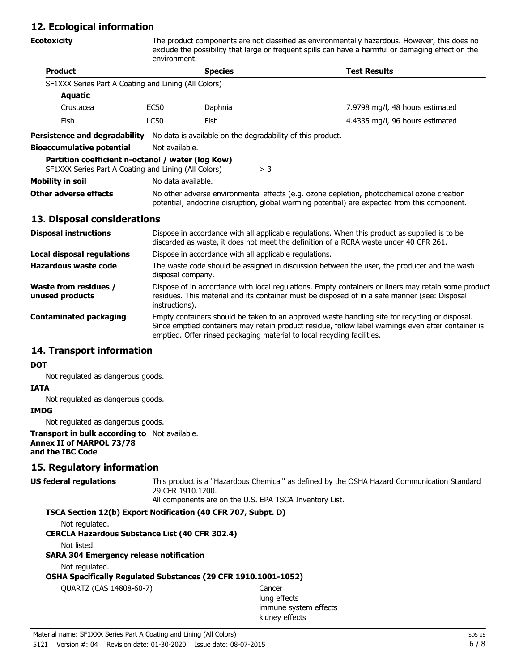### **12. Ecological information**

| <b>Ecotoxicity</b>                                                                                        | The product components are not classified as environmentally hazardous. However, this does no<br>exclude the possibility that large or frequent spills can have a harmful or damaging effect on the<br>environment. |                                                            |       |                                                                                                                                                                                            |
|-----------------------------------------------------------------------------------------------------------|---------------------------------------------------------------------------------------------------------------------------------------------------------------------------------------------------------------------|------------------------------------------------------------|-------|--------------------------------------------------------------------------------------------------------------------------------------------------------------------------------------------|
| <b>Product</b>                                                                                            |                                                                                                                                                                                                                     | <b>Species</b><br><b>Test Results</b>                      |       |                                                                                                                                                                                            |
| SF1XXX Series Part A Coating and Lining (All Colors)                                                      |                                                                                                                                                                                                                     |                                                            |       |                                                                                                                                                                                            |
| <b>Aquatic</b>                                                                                            |                                                                                                                                                                                                                     |                                                            |       |                                                                                                                                                                                            |
| Crustacea                                                                                                 | EC50                                                                                                                                                                                                                | Daphnia                                                    |       | 7.9798 mg/l, 48 hours estimated                                                                                                                                                            |
| <b>Fish</b>                                                                                               | LC50                                                                                                                                                                                                                | Fish                                                       |       | 4.4335 mg/l, 96 hours estimated                                                                                                                                                            |
| <b>Persistence and degradability</b>                                                                      |                                                                                                                                                                                                                     | No data is available on the degradability of this product. |       |                                                                                                                                                                                            |
| <b>Bioaccumulative potential</b>                                                                          | Not available.                                                                                                                                                                                                      |                                                            |       |                                                                                                                                                                                            |
| Partition coefficient n-octanol / water (log Kow)<br>SF1XXX Series Part A Coating and Lining (All Colors) |                                                                                                                                                                                                                     |                                                            | $>$ 3 |                                                                                                                                                                                            |
| <b>Mobility in soil</b>                                                                                   | No data available.                                                                                                                                                                                                  |                                                            |       |                                                                                                                                                                                            |
| Other adverse effects                                                                                     |                                                                                                                                                                                                                     |                                                            |       | No other adverse environmental effects (e.g. ozone depletion, photochemical ozone creation<br>potential, endocrine disruption, global warming potential) are expected from this component. |

#### **13. Disposal considerations**

| <b>Disposal instructions</b>                    | Dispose in accordance with all applicable regulations. When this product as supplied is to be<br>discarded as waste, it does not meet the definition of a RCRA waste under 40 CFR 261.                                                                                          |
|-------------------------------------------------|---------------------------------------------------------------------------------------------------------------------------------------------------------------------------------------------------------------------------------------------------------------------------------|
| <b>Local disposal regulations</b>               | Dispose in accordance with all applicable regulations.                                                                                                                                                                                                                          |
| Hazardous waste code                            | The waste code should be assigned in discussion between the user, the producer and the waste<br>disposal company.                                                                                                                                                               |
| <b>Waste from residues /</b><br>unused products | Dispose of in accordance with local regulations. Empty containers or liners may retain some product<br>residues. This material and its container must be disposed of in a safe manner (see: Disposal<br>instructions).                                                          |
| <b>Contaminated packaging</b>                   | Empty containers should be taken to an approved waste handling site for recycling or disposal.<br>Since emptied containers may retain product residue, follow label warnings even after container is<br>emptied. Offer rinsed packaging material to local recycling facilities. |

#### **14. Transport information**

#### **DOT**

Not regulated as dangerous goods.

# **IATA**

Not regulated as dangerous goods.

### **IMDG**

Not regulated as dangerous goods.

#### **Transport in bulk according to** Not available. **Annex II of MARPOL 73/78 and the IBC Code**

#### **15. Regulatory information**

| <b>US federal regulations</b> | This product is a "Hazardous Chemical" as defined by the OSHA Hazard Communication Standard |
|-------------------------------|---------------------------------------------------------------------------------------------|
| 29 CFR 1910.1200.             |                                                                                             |
|                               | All components are on the U.S. EPA TSCA Inventory List.                                     |

#### **TSCA Section 12(b) Export Notification (40 CFR 707, Subpt. D)**

Not regulated.

#### **CERCLA Hazardous Substance List (40 CFR 302.4)**

Not listed.

#### **SARA 304 Emergency release notification**

Not regulated.

#### **OSHA Specifically Regulated Substances (29 CFR 1910.1001-1052)**

QUARTZ (CAS 14808-60-7) Cancer

lung effects immune system effects kidney effects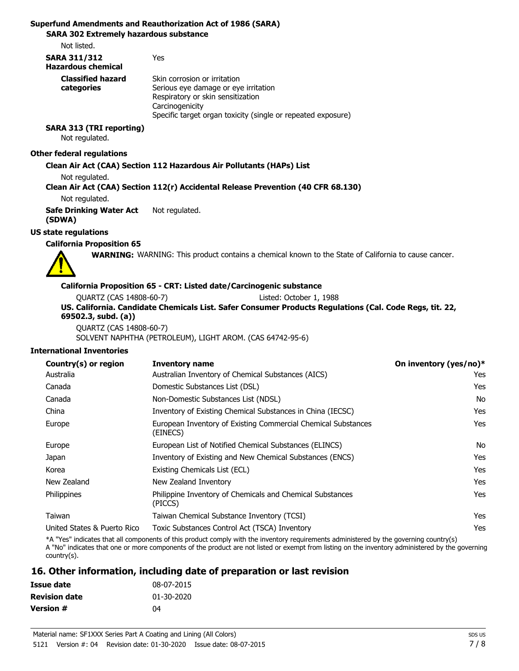#### **Superfund Amendments and Reauthorization Act of 1986 (SARA)**

**SARA 302 Extremely hazardous substance**

Not listed.

| <b>SARA 311/312</b><br><b>Hazardous chemical</b> | Yes                                                                                                                                                                                          |
|--------------------------------------------------|----------------------------------------------------------------------------------------------------------------------------------------------------------------------------------------------|
| <b>Classified hazard</b><br>categories           | Skin corrosion or irritation<br>Serious eye damage or eye irritation<br>Respiratory or skin sensitization<br>Carcinogenicity<br>Specific target organ toxicity (single or repeated exposure) |

#### **SARA 313 (TRI reporting)** Not regulated.

#### **Other federal regulations**

#### **Clean Air Act (CAA) Section 112 Hazardous Air Pollutants (HAPs) List**

Not regulated.

**Clean Air Act (CAA) Section 112(r) Accidental Release Prevention (40 CFR 68.130)**

Not regulated.

**Safe Drinking Water Act** Not regulated. **(SDWA)**

#### **US state regulations**

**California Proposition 65**

**WARNING:** WARNING: This product contains a chemical known to the State of California to cause cancer.

#### **California Proposition 65 - CRT: Listed date/Carcinogenic substance**

| QUARTZ (CAS 14808-60-7)                                                                                 | Listed: October 1, 1988 |  |
|---------------------------------------------------------------------------------------------------------|-------------------------|--|
| US. California. Candidate Chemicals List. Safer Consumer Products Regulations (Cal. Code Regs, tit. 22, |                         |  |
| 69502.3, subd. (a))                                                                                     |                         |  |
| QUARTZ (CAS 14808-60-7)                                                                                 |                         |  |

SOLVENT NAPHTHA (PETROLEUM), LIGHT AROM. (CAS 64742-95-6)

#### **International Inventories**

| Country(s) or region        | <b>Inventory name</b>                                                     | On inventory (yes/no)* |
|-----------------------------|---------------------------------------------------------------------------|------------------------|
| Australia                   | Australian Inventory of Chemical Substances (AICS)                        | Yes                    |
| Canada                      | Domestic Substances List (DSL)                                            | Yes                    |
| Canada                      | Non-Domestic Substances List (NDSL)                                       | No.                    |
| China                       | Inventory of Existing Chemical Substances in China (IECSC)                | Yes                    |
| Europe                      | European Inventory of Existing Commercial Chemical Substances<br>(EINECS) | Yes                    |
| Europe                      | European List of Notified Chemical Substances (ELINCS)                    | No                     |
| Japan                       | Inventory of Existing and New Chemical Substances (ENCS)                  | Yes                    |
| Korea                       | Existing Chemicals List (ECL)                                             | Yes                    |
| New Zealand                 | New Zealand Inventory                                                     | Yes                    |
| <b>Philippines</b>          | Philippine Inventory of Chemicals and Chemical Substances<br>(PICCS)      | Yes                    |
| Taiwan                      | Taiwan Chemical Substance Inventory (TCSI)                                | Yes                    |
| United States & Puerto Rico | Toxic Substances Control Act (TSCA) Inventory                             | Yes                    |

\*A "Yes" indicates that all components of this product comply with the inventory requirements administered by the governing country(s) A "No" indicates that one or more components of the product are not listed or exempt from listing on the inventory administered by the governing country(s).

#### **16. Other information, including date of preparation or last revision**

| Issue date           | 08-07-2015 |
|----------------------|------------|
| <b>Revision date</b> | 01-30-2020 |
| <b>Version #</b>     | 04         |